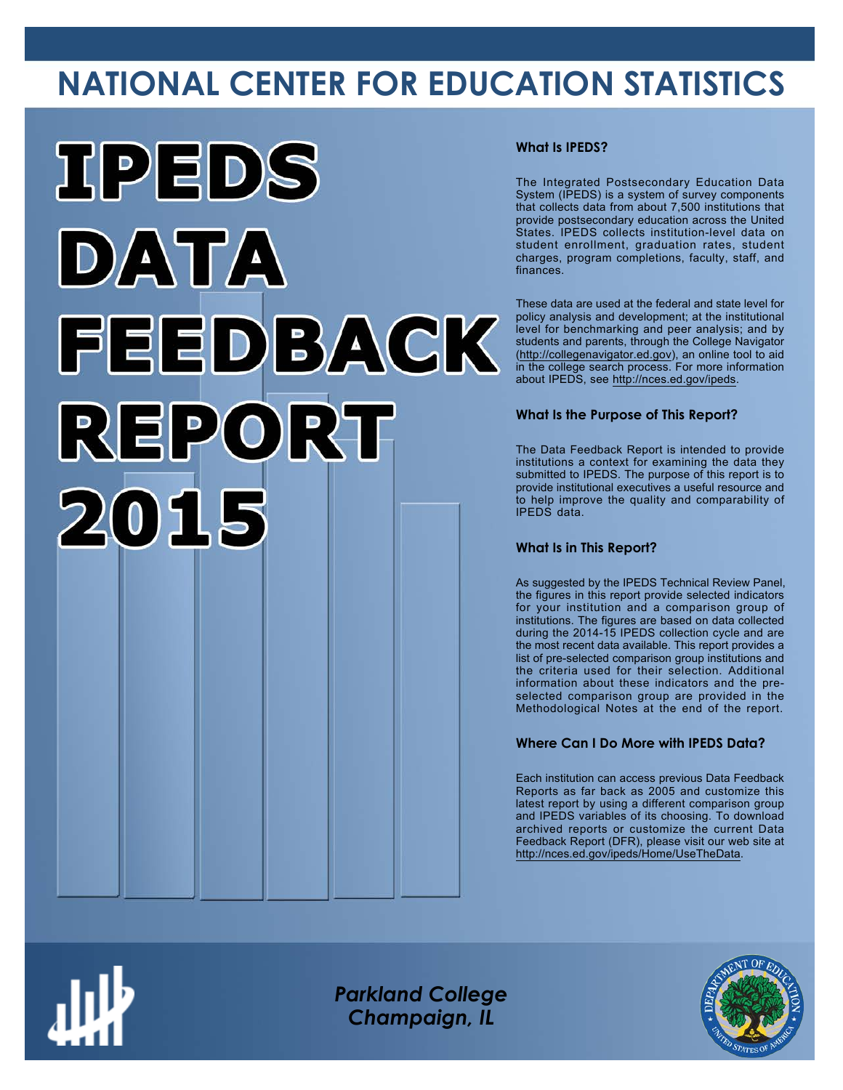## **NATIONAL CENTER FOR EDUCATION STATISTICS**



#### **What Is IPEDS?**

The Integrated Postsecondary Education Data System (IPEDS) is a system of survey components that collects data from about 7,500 institutions that provide postsecondary education across the United States. IPEDS collects institution-level data on student enrollment, graduation rates, student charges, program completions, faculty, staff, and finances.

These data are used at the federal and state level for policy analysis and development; at the institutional level for benchmarking and peer analysis; and by students and parents, through the College Navigator ([http://collegenavigator.ed.gov\)](http://collegenavigator.ed.gov), an online tool to aid in the college search process. For more information about IPEDS, see [http://nces.ed.gov/ipeds.](http://nces.ed.gov/ipeds)

#### **What Is the Purpose of This Report?**

The Data Feedback Report is intended to provide institutions a context for examining the data they submitted to IPEDS. The purpose of this report is to provide institutional executives a useful resource and to help improve the quality and comparability of IPEDS data.

#### **What Is in This Report?**

As suggested by the IPEDS Technical Review Panel, the figures in this report provide selected indicators for your institution and a comparison group of institutions. The figures are based on data collected during the 2014-15 IPEDS collection cycle and are the most recent data available. This report provides a list of pre-selected comparison group institutions and the criteria used for their selection. Additional information about these indicators and the preselected comparison group are provided in the Methodological Notes at the end of the report.

#### **Where Can I Do More with IPEDS Data?**

Each institution can access previous Data Feedback Reports as far back as 2005 and customize this latest report by using a different comparison group and IPEDS variables of its choosing. To download archived reports or customize the current Data Feedback Report (DFR), please visit our web site at [http://nces.ed.gov/ipeds/Home/UseTheData.](http://nces.ed.gov/ipeds/Home/UseTheData)



*Parkland College Champaign, IL*

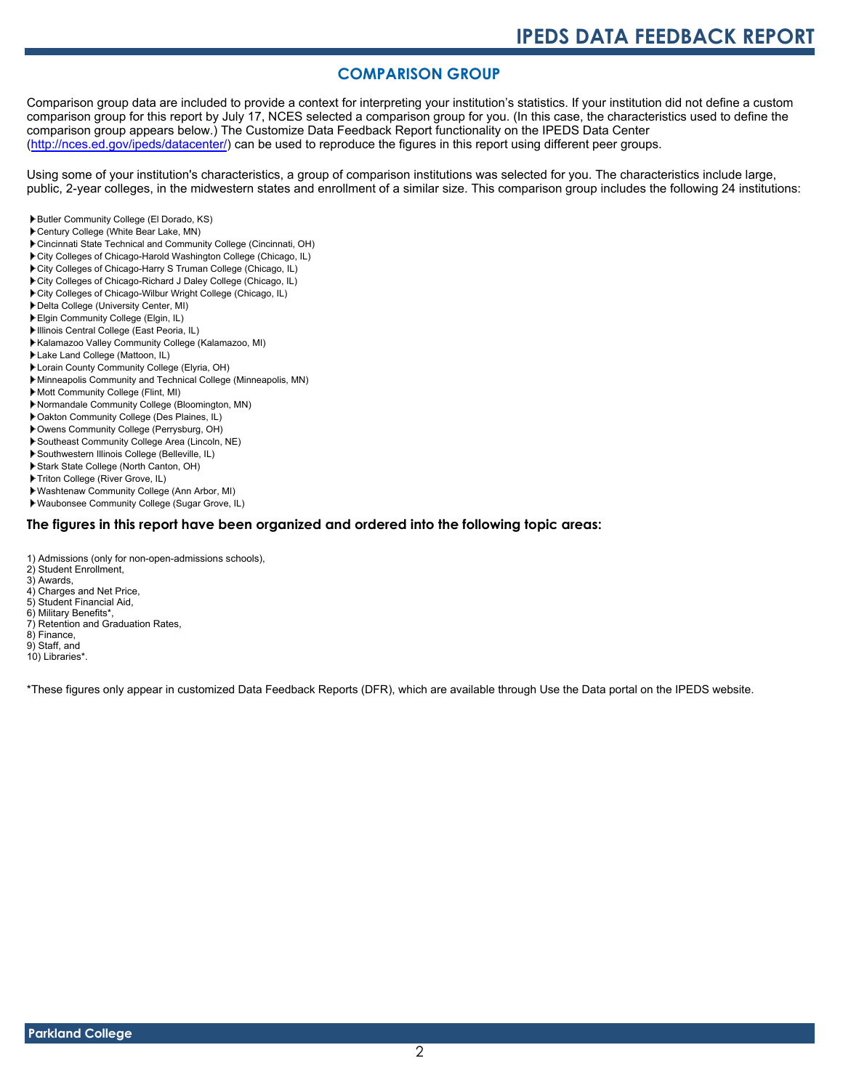#### **COMPARISON GROUP**

Comparison group data are included to provide a context for interpreting your institution's statistics. If your institution did not define a custom comparison group for this report by July 17, NCES selected a comparison group for you. (In this case, the characteristics used to define the comparison group appears below.) The Customize Data Feedback Report functionality on the IPEDS Data Center [\(http://nces.ed.gov/ipeds/datacenter/\)](http://nces.ed.gov/ipeds/datacenter/) can be used to reproduce the figures in this report using different peer groups.

Using some of your institution's characteristics, a group of comparison institutions was selected for you. The characteristics include large, public, 2-year colleges, in the midwestern states and enrollment of a similar size. This comparison group includes the following 24 institutions:

- Butler Community College (El Dorado, KS)
- Century College (White Bear Lake, MN)
- Cincinnati State Technical and Community College (Cincinnati, OH)
- City Colleges of Chicago-Harold Washington College (Chicago, IL)
- City Colleges of Chicago-Harry S Truman College (Chicago, IL)
- City Colleges of Chicago-Richard J Daley College (Chicago, IL)
- City Colleges of Chicago-Wilbur Wright College (Chicago, IL)
- Delta College (University Center, MI)
- Elgin Community College (Elgin, IL)
- Illinois Central College (East Peoria, IL)
- Kalamazoo Valley Community College (Kalamazoo, MI)
- Lake Land College (Mattoon, IL)
- Lorain County Community College (Elyria, OH)
- Minneapolis Community and Technical College (Minneapolis, MN)
- Mott Community College (Flint, MI)
- Normandale Community College (Bloomington, MN)
- Oakton Community College (Des Plaines, IL)
- Owens Community College (Perrysburg, OH)
- Southeast Community College Area (Lincoln, NE)
- Southwestern Illinois College (Belleville, IL)
- Stark State College (North Canton, OH)
- Triton College (River Grove, IL)
- Washtenaw Community College (Ann Arbor, MI)
- Waubonsee Community College (Sugar Grove, IL)

#### **The figures in this report have been organized and ordered into the following topic areas:**

- 1) Admissions (only for non-open-admissions schools),
- 2) Student Enrollment,
- 3) Awards,
- 4) Charges and Net Price, 5) Student Financial Aid,
- 6) Military Benefits\*,
- 7) Retention and Graduation Rates,
- 8) Finance,
- 9) Staff, and

10) Libraries\*.

\*These figures only appear in customized Data Feedback Reports (DFR), which are available through Use the Data portal on the IPEDS website.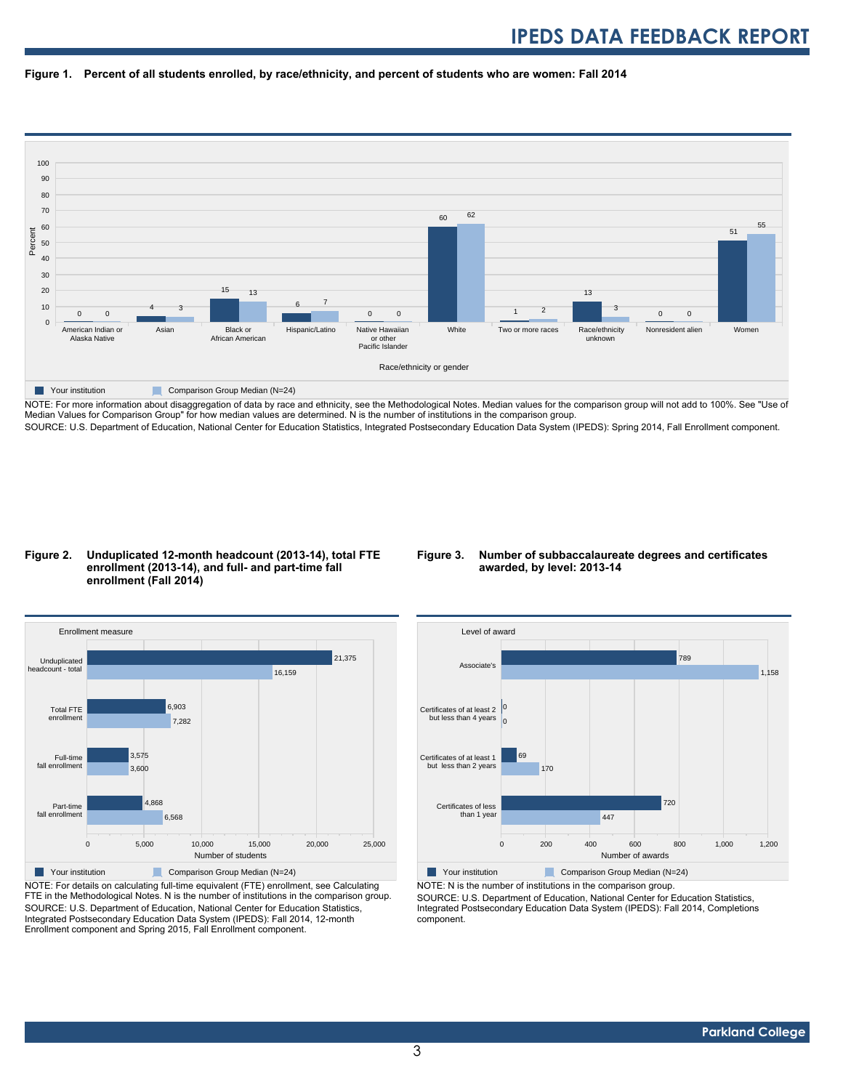



NOTE: For more information about disaggregation of data by race and ethnicity, see the Methodological Notes. Median values for the comparison group will not add to 100%. See "Use of Median Values for Comparison Group" for how median values are determined. N is the number of institutions in the comparison group. SOURCE: U.S. Department of Education, National Center for Education Statistics, Integrated Postsecondary Education Data System (IPEDS): Spring 2014, Fall Enrollment component.

#### **Figure 2. Unduplicated 12-month headcount (2013-14), total FTE enrollment (2013-14), and full- and part-time fall enrollment (Fall 2014)**

#### **Figure 3. Number of subbaccalaureate degrees and certificates awarded, by level: 2013-14**



NOTE: For details on calculating full-time equivalent (FTE) enrollment, see Calculating FTE in the Methodological Notes. N is the number of institutions in the comparison group. SOURCE: U.S. Department of Education, National Center for Education Statistics, Integrated Postsecondary Education Data System (IPEDS): Fall 2014, 12-month Enrollment component and Spring 2015, Fall Enrollment component.



NOTE: N is the number of institutions in the comparison group.

SOURCE: U.S. Department of Education, National Center for Education Statistics, Integrated Postsecondary Education Data System (IPEDS): Fall 2014, Completions component.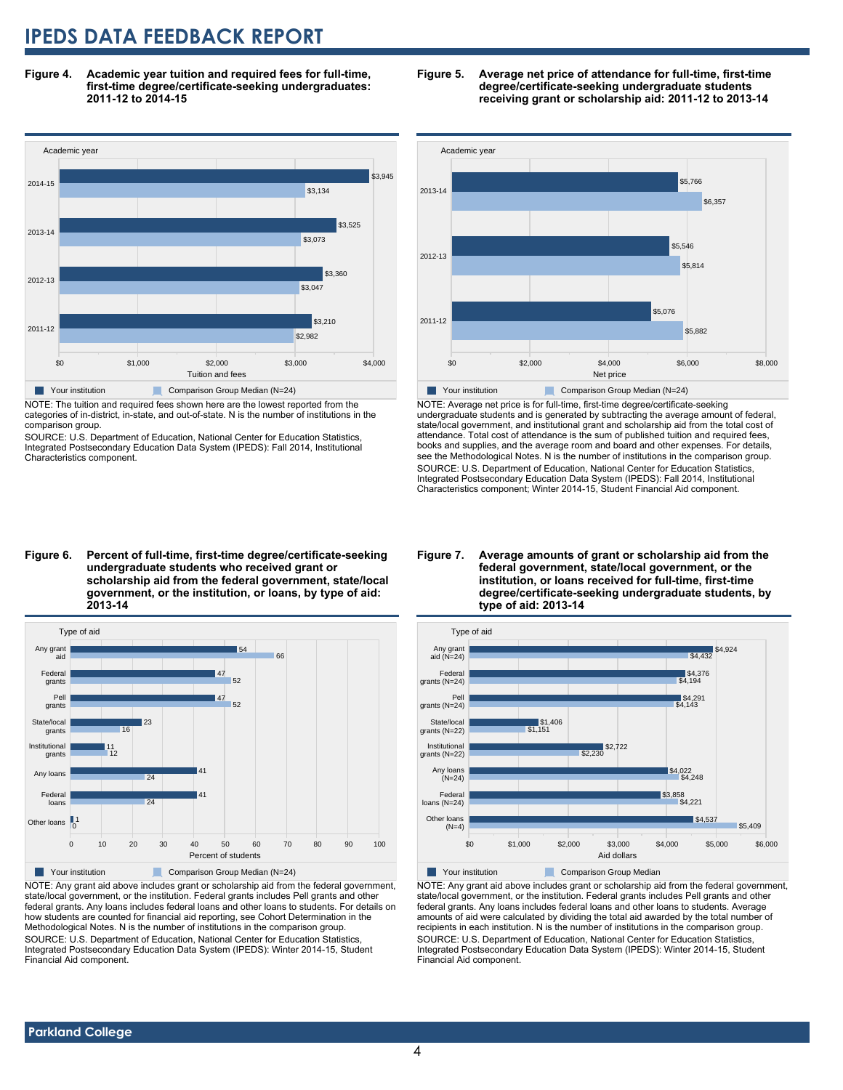**Figure 4. Academic year tuition and required fees for full-time, first-time degree/certificate-seeking undergraduates: 2011-12 to 2014-15**



NOTE: The tuition and required fees shown here are the lowest reported from the categories of in-district, in-state, and out-of-state. N is the number of institutions in the comparison group.

SOURCE: U.S. Department of Education, National Center for Education Statistics, Integrated Postsecondary Education Data System (IPEDS): Fall 2014, Institutional Characteristics component.





NOTE: Average net price is for full-time, first-time degree/certificate-seeking undergraduate students and is generated by subtracting the average amount of federal, state/local government, and institutional grant and scholarship aid from the total cost of attendance. Total cost of attendance is the sum of published tuition and required fees, books and supplies, and the average room and board and other expenses. For details, see the Methodological Notes. N is the number of institutions in the comparison group. SOURCE: U.S. Department of Education, National Center for Education Statistics, Integrated Postsecondary Education Data System (IPEDS): Fall 2014, Institutional Characteristics component; Winter 2014-15, Student Financial Aid component.

**undergraduate students who received grant or scholarship aid from the federal government, state/local government, or the institution, or loans, by type of aid: 2013-14**



NOTE: Any grant aid above includes grant or scholarship aid from the federal government, state/local government, or the institution. Federal grants includes Pell grants and other federal grants. Any loans includes federal loans and other loans to students. For details on how students are counted for financial aid reporting, see Cohort Determination in the Methodological Notes. N is the number of institutions in the comparison group. SOURCE: U.S. Department of Education, National Center for Education Statistics, Integrated Postsecondary Education Data System (IPEDS): Winter 2014-15, Student Financial Aid component.

#### **Figure 7. Average amounts of grant or scholarship aid from the federal government, state/local government, or the institution, or loans received for full-time, first-time degree/certificate-seeking undergraduate students, by type of aid: 2013-14**



NOTE: Any grant aid above includes grant or scholarship aid from the federal government, state/local government, or the institution. Federal grants includes Pell grants and other federal grants. Any loans includes federal loans and other loans to students. Average amounts of aid were calculated by dividing the total aid awarded by the total number of recipients in each institution. N is the number of institutions in the comparison group. SOURCE: U.S. Department of Education, National Center for Education Statistics, Integrated Postsecondary Education Data System (IPEDS): Winter 2014-15, Student Financial Aid component.

# **Figure 6. Percent of full-time, first-time degree/certificate-seeking**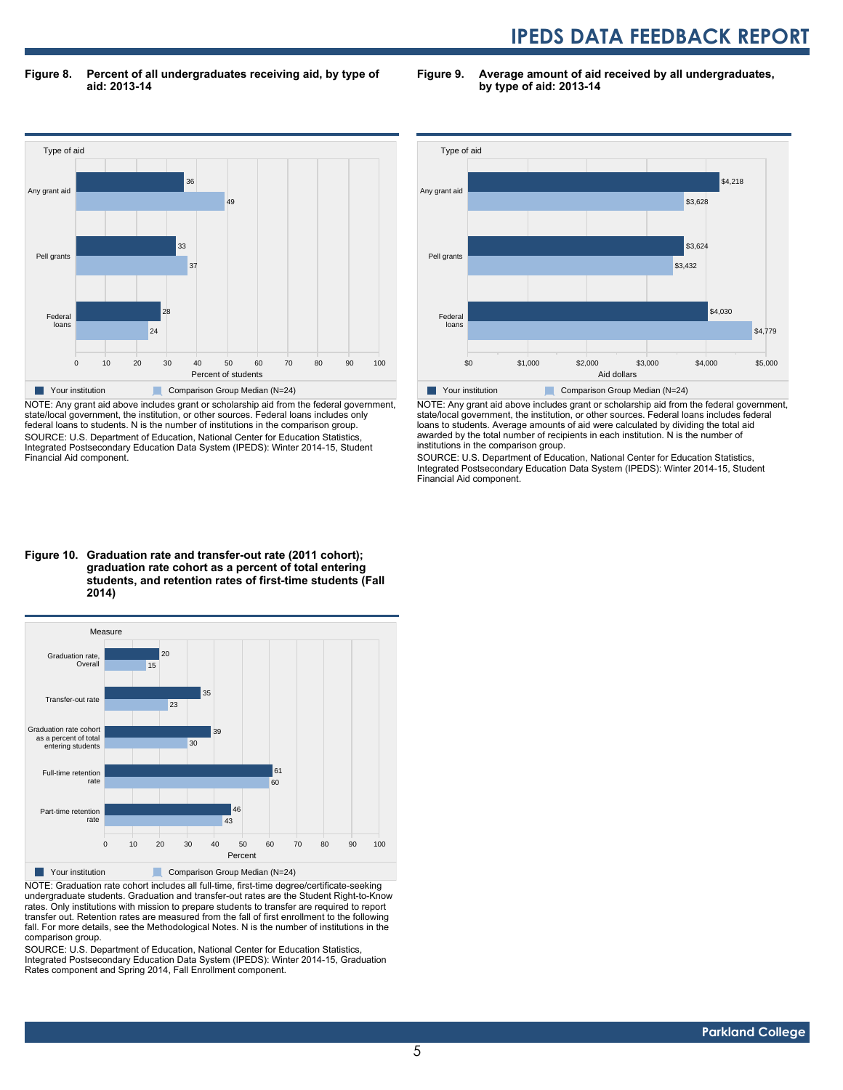**Figure 8. Percent of all undergraduates receiving aid, by type of aid: 2013-14**

**Figure 9. Average amount of aid received by all undergraduates, by type of aid: 2013-14**



NOTE: Any grant aid above includes grant or scholarship aid from the federal government, state/local government, the institution, or other sources. Federal loans includes only federal loans to students. N is the number of institutions in the comparison group. SOURCE: U.S. Department of Education, National Center for Education Statistics, Integrated Postsecondary Education Data System (IPEDS): Winter 2014-15, Student Financial Aid component.



NOTE: Any grant aid above includes grant or scholarship aid from the federal government, state/local government, the institution, or other sources. Federal loans includes federal loans to students. Average amounts of aid were calculated by dividing the total aid awarded by the total number of recipients in each institution. N is the number of institutions in the comparison group.

SOURCE: U.S. Department of Education, National Center for Education Statistics, Integrated Postsecondary Education Data System (IPEDS): Winter 2014-15, Student Financial Aid component.

#### **Figure 10. Graduation rate and transfer-out rate (2011 cohort); graduation rate cohort as a percent of total entering students, and retention rates of first-time students (Fall 2014)**



NOTE: Graduation rate cohort includes all full-time, first-time degree/certificate-seeking undergraduate students. Graduation and transfer-out rates are the Student Right-to-Know rates. Only institutions with mission to prepare students to transfer are required to report transfer out. Retention rates are measured from the fall of first enrollment to the following fall. For more details, see the Methodological Notes. N is the number of institutions in the comparison group.

SOURCE: U.S. Department of Education, National Center for Education Statistics, Integrated Postsecondary Education Data System (IPEDS): Winter 2014-15, Graduation Rates component and Spring 2014, Fall Enrollment component.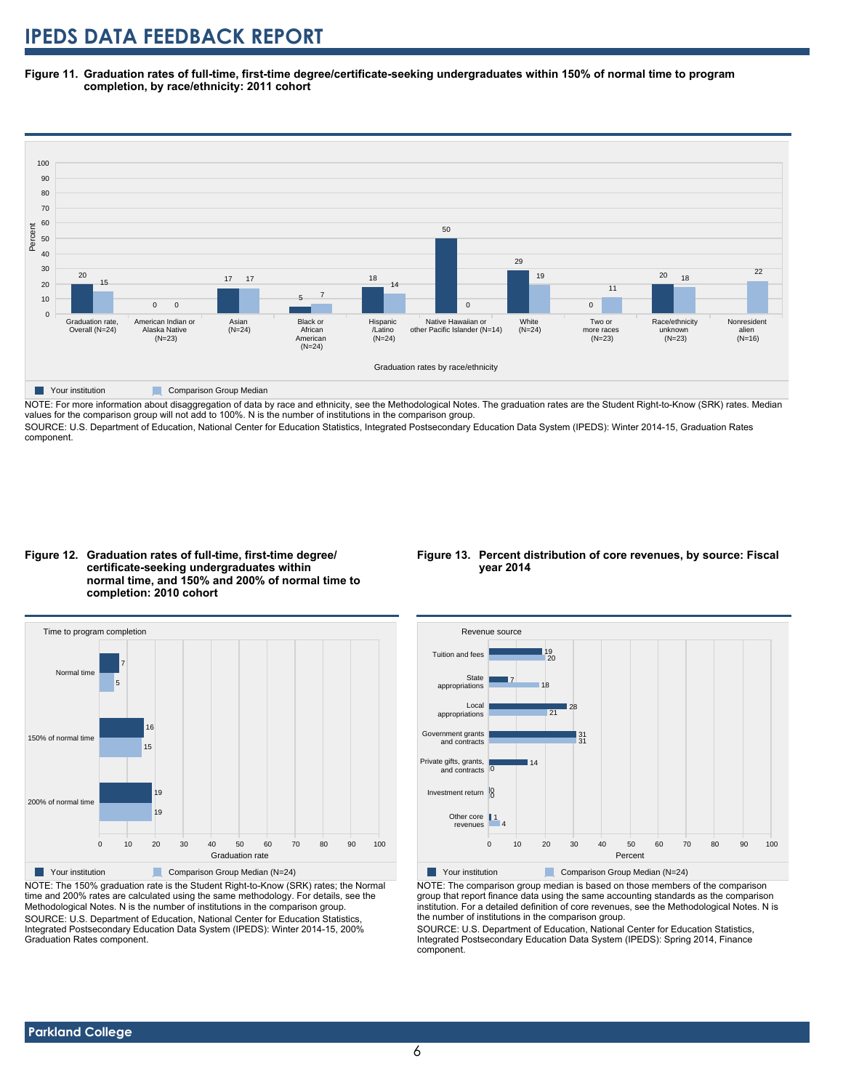**Figure 11. Graduation rates of full-time, first-time degree/certificate-seeking undergraduates within 150% of normal time to program completion, by race/ethnicity: 2011 cohort**



NOTE: For more information about disaggregation of data by race and ethnicity, see the Methodological Notes. The graduation rates are the Student Right-to-Know (SRK) rates. Median values for the comparison group will not add to 100%. N is the number of institutions in the comparison group.

SOURCE: U.S. Department of Education, National Center for Education Statistics, Integrated Postsecondary Education Data System (IPEDS): Winter 2014-15, Graduation Rates component.





NOTE: The 150% graduation rate is the Student Right-to-Know (SRK) rates; the Normal time and 200% rates are calculated using the same methodology. For details, see the Methodological Notes. N is the number of institutions in the comparison group. SOURCE: U.S. Department of Education, National Center for Education Statistics, Integrated Postsecondary Education Data System (IPEDS): Winter 2014-15, 200% Graduation Rates component.

#### **Figure 13. Percent distribution of core revenues, by source: Fiscal year 2014**



Your institution Comparison Group Median (N=24)

NOTE: The comparison group median is based on those members of the comparison group that report finance data using the same accounting standards as the comparison institution. For a detailed definition of core revenues, see the Methodological Notes. N is the number of institutions in the comparison group.

SOURCE: U.S. Department of Education, National Center for Education Statistics, Integrated Postsecondary Education Data System (IPEDS): Spring 2014, Finance component.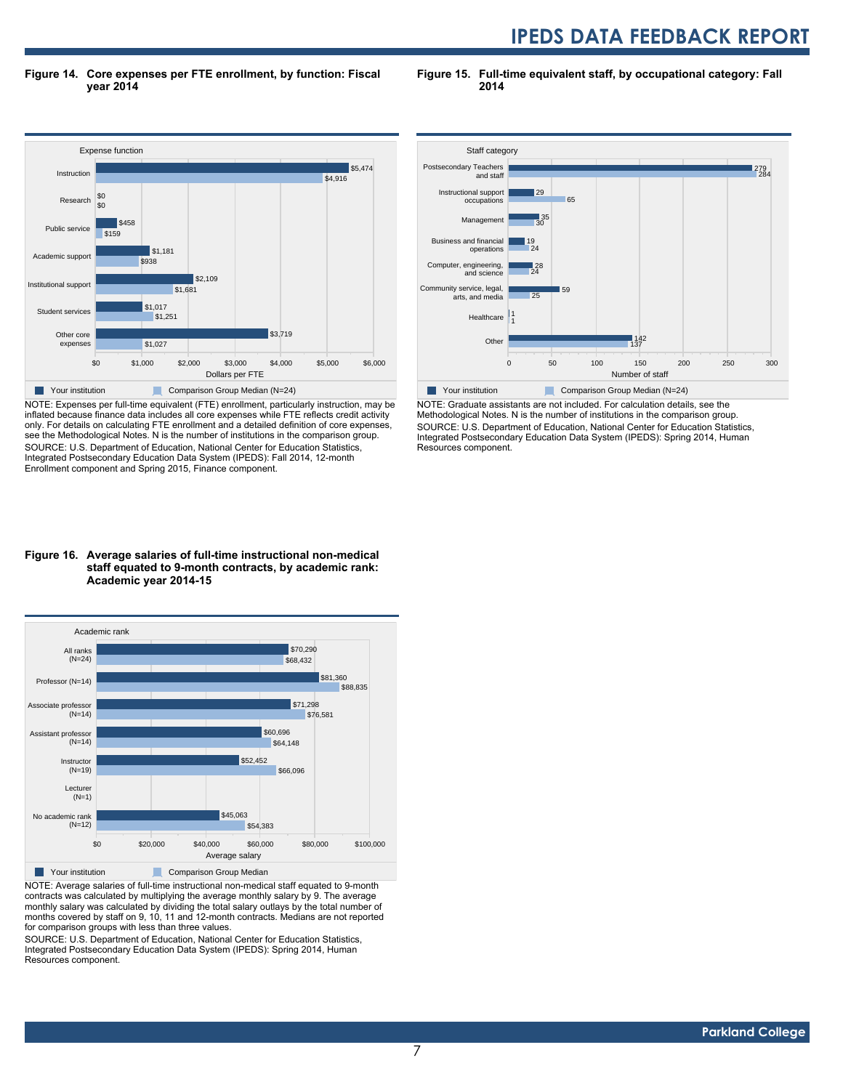**Figure 14. Core expenses per FTE enrollment, by function: Fiscal year 2014**

**Figure 15. Full-time equivalent staff, by occupational category: Fall 2014**



NOTE: Expenses per full-time equivalent (FTE) enrollment, particularly instruction, may be inflated because finance data includes all core expenses while FTE reflects credit activity only. For details on calculating FTE enrollment and a detailed definition of core expenses, see the Methodological Notes. N is the number of institutions in the comparison group. SOURCE: U.S. Department of Education, National Center for Education Statistics, Integrated Postsecondary Education Data System (IPEDS): Fall 2014, 12-month Enrollment component and Spring 2015, Finance component.

#### **Figure 16. Average salaries of full-time instructional non-medical staff equated to 9-month contracts, by academic rank: Academic year 2014-15**



NOTE: Average salaries of full-time instructional non-medical staff equated to 9-month contracts was calculated by multiplying the average monthly salary by 9. The average monthly salary was calculated by dividing the total salary outlays by the total number of months covered by staff on 9, 10, 11 and 12-month contracts. Medians are not reported for comparison groups with less than three values.

SOURCE: U.S. Department of Education, National Center for Education Statistics, Integrated Postsecondary Education Data System (IPEDS): Spring 2014, Human Resources component.



NOTE: Graduate assistants are not included. For calculation details, see the Methodological Notes. N is the number of institutions in the comparison group. SOURCE: U.S. Department of Education, National Center for Education Statistics, Integrated Postsecondary Education Data System (IPEDS): Spring 2014, Human Resources component.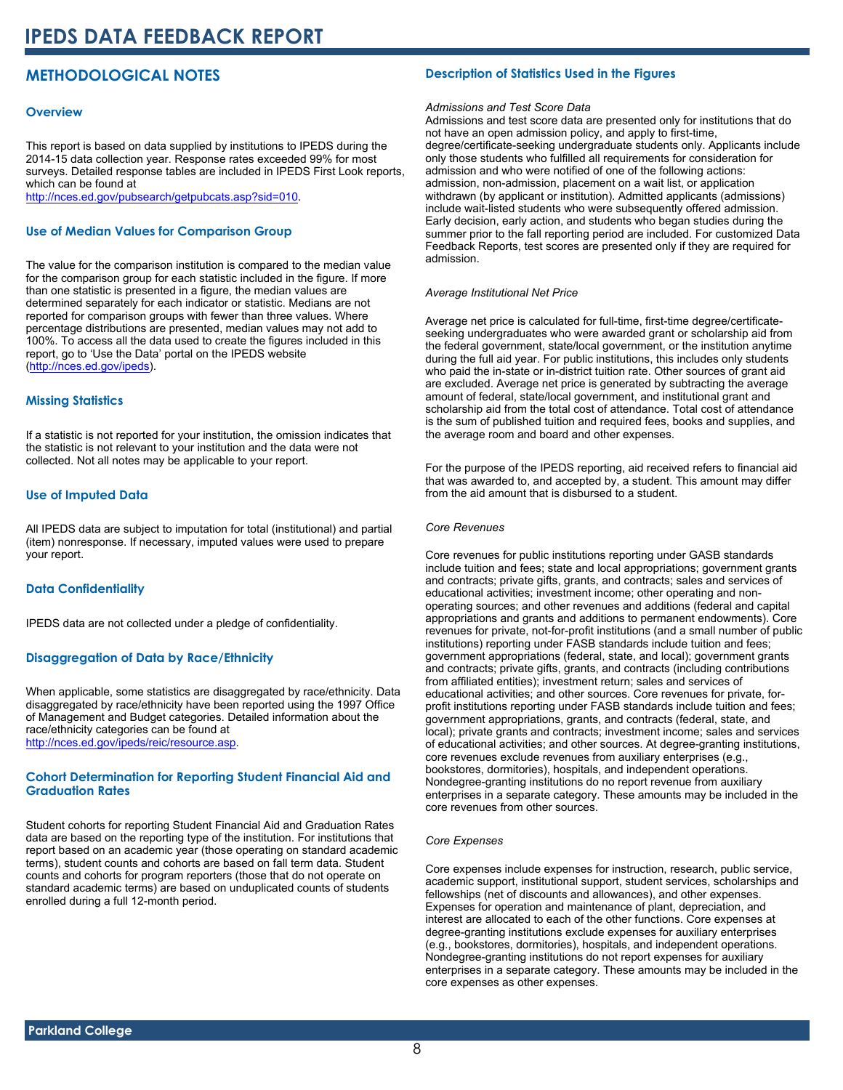#### **METHODOLOGICAL NOTES**

#### **Overview**

This report is based on data supplied by institutions to IPEDS during the 2014-15 data collection year. Response rates exceeded 99% for most surveys. Detailed response tables are included in IPEDS First Look reports, which can be found at [http://nces.ed.gov/pubsearch/getpubcats.asp?sid=010.](http://nces.ed.gov/pubsearch/getpubcats.asp?sid=010)

#### **Use of Median Values for Comparison Group**

The value for the comparison institution is compared to the median value for the comparison group for each statistic included in the figure. If more than one statistic is presented in a figure, the median values are determined separately for each indicator or statistic. Medians are not reported for comparison groups with fewer than three values. Where percentage distributions are presented, median values may not add to 100%. To access all the data used to create the figures included in this report, go to 'Use the Data' portal on the IPEDS website ([http://nces.ed.gov/ipeds\)](http://nces.ed.gov/ipeds).

#### **Missing Statistics**

If a statistic is not reported for your institution, the omission indicates that the statistic is not relevant to your institution and the data were not collected. Not all notes may be applicable to your report.

#### **Use of Imputed Data**

All IPEDS data are subject to imputation for total (institutional) and partial (item) nonresponse. If necessary, imputed values were used to prepare your report.

#### **Data Confidentiality**

IPEDS data are not collected under a pledge of confidentiality.

#### **Disaggregation of Data by Race/Ethnicity**

When applicable, some statistics are disaggregated by race/ethnicity. Data disaggregated by race/ethnicity have been reported using the 1997 Office of Management and Budget categories. Detailed information about the race/ethnicity categories can be found at <http://nces.ed.gov/ipeds/reic/resource.asp>.

#### **Cohort Determination for Reporting Student Financial Aid and Graduation Rates**

Student cohorts for reporting Student Financial Aid and Graduation Rates data are based on the reporting type of the institution. For institutions that report based on an academic year (those operating on standard academic terms), student counts and cohorts are based on fall term data. Student counts and cohorts for program reporters (those that do not operate on standard academic terms) are based on unduplicated counts of students enrolled during a full 12-month period.

#### **Description of Statistics Used in the Figures**

#### *Admissions and Test Score Data*

Admissions and test score data are presented only for institutions that do not have an open admission policy, and apply to first-time, degree/certificate-seeking undergraduate students only. Applicants include only those students who fulfilled all requirements for consideration for admission and who were notified of one of the following actions: admission, non-admission, placement on a wait list, or application withdrawn (by applicant or institution). Admitted applicants (admissions) include wait-listed students who were subsequently offered admission. Early decision, early action, and students who began studies during the summer prior to the fall reporting period are included. For customized Data Feedback Reports, test scores are presented only if they are required for admission.

#### *Average Institutional Net Price*

Average net price is calculated for full-time, first-time degree/certificateseeking undergraduates who were awarded grant or scholarship aid from the federal government, state/local government, or the institution anytime during the full aid year. For public institutions, this includes only students who paid the in-state or in-district tuition rate. Other sources of grant aid are excluded. Average net price is generated by subtracting the average amount of federal, state/local government, and institutional grant and scholarship aid from the total cost of attendance. Total cost of attendance is the sum of published tuition and required fees, books and supplies, and the average room and board and other expenses.

For the purpose of the IPEDS reporting, aid received refers to financial aid that was awarded to, and accepted by, a student. This amount may differ from the aid amount that is disbursed to a student.

#### *Core Revenues*

Core revenues for public institutions reporting under GASB standards include tuition and fees; state and local appropriations; government grants and contracts; private gifts, grants, and contracts; sales and services of educational activities; investment income; other operating and nonoperating sources; and other revenues and additions (federal and capital appropriations and grants and additions to permanent endowments). Core revenues for private, not-for-profit institutions (and a small number of public institutions) reporting under FASB standards include tuition and fees; government appropriations (federal, state, and local); government grants and contracts; private gifts, grants, and contracts (including contributions from affiliated entities); investment return; sales and services of educational activities; and other sources. Core revenues for private, forprofit institutions reporting under FASB standards include tuition and fees; government appropriations, grants, and contracts (federal, state, and local); private grants and contracts; investment income; sales and services of educational activities; and other sources. At degree-granting institutions, core revenues exclude revenues from auxiliary enterprises (e.g., bookstores, dormitories), hospitals, and independent operations. Nondegree-granting institutions do no report revenue from auxiliary enterprises in a separate category. These amounts may be included in the core revenues from other sources.

#### *Core Expenses*

Core expenses include expenses for instruction, research, public service, academic support, institutional support, student services, scholarships and fellowships (net of discounts and allowances), and other expenses. Expenses for operation and maintenance of plant, depreciation, and interest are allocated to each of the other functions. Core expenses at degree-granting institutions exclude expenses for auxiliary enterprises (e.g., bookstores, dormitories), hospitals, and independent operations. Nondegree-granting institutions do not report expenses for auxiliary enterprises in a separate category. These amounts may be included in the core expenses as other expenses.